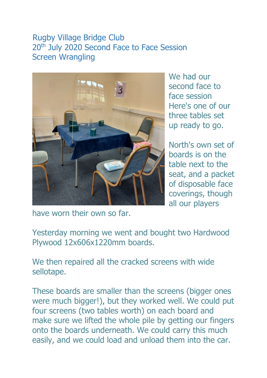## Rugby Village Bridge Club 20<sup>th</sup> July 2020 Second Face to Face Session Screen Wrangling



We had our second face to face session Here's one of our three tables set up ready to go.

North's own set of boards is on the table next to the seat, and a packet of disposable face coverings, though all our players

have worn their own so far.

Yesterday morning we went and bought two Hardwood Plywood 12x606x1220mm boards.

We then repaired all the cracked screens with wide sellotape.

These boards are smaller than the screens (bigger ones were much bigger!), but they worked well. We could put four screens (two tables worth) on each board and make sure we lifted the whole pile by getting our fingers onto the boards underneath. We could carry this much easily, and we could load and unload them into the car.